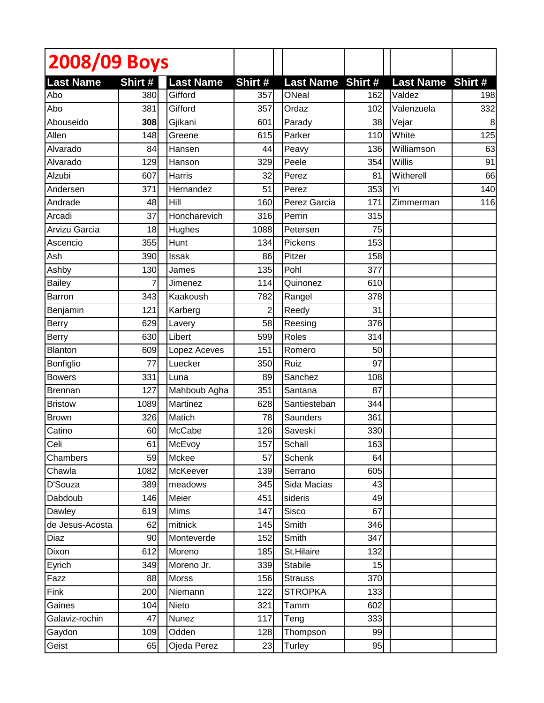| 2008/09 Boys            |                |                             |                |                                  |     |                                   |     |
|-------------------------|----------------|-----------------------------|----------------|----------------------------------|-----|-----------------------------------|-----|
|                         |                |                             |                |                                  |     |                                   |     |
| <b>Last Name</b><br>Abo | Shirt #<br>380 | <b>Last Name</b><br>Gifford | Shirt #<br>357 | <b>Last Name Shirt#</b><br>ONeal | 162 | <b>Last Name Shirt#</b><br>Valdez | 198 |
| Abo                     | 381            | Gifford                     | 357            | Ordaz                            | 102 | Valenzuela                        | 332 |
| Abouseido               | 308            | Gjikani                     | 601            | Parady                           | 38  | Vejar                             | 8   |
| Allen                   | 148            | Greene                      | 615            | Parker                           | 110 | White                             | 125 |
| Alvarado                | 84             | Hansen                      | 44             | Peavy                            | 136 | Williamson                        | 63  |
| Alvarado                | 129            | Hanson                      | 329            | Peele                            | 354 | Willis                            | 91  |
| Alzubi                  | 607            | <b>Harris</b>               | 32             | Perez                            | 81  | Witherell                         | 66  |
| Andersen                |                | Hernandez                   |                |                                  |     | Yi                                |     |
|                         | 371            |                             | 51             | Perez                            | 353 |                                   | 140 |
| Andrade                 | 48             | Hill                        | 160            | Perez Garcia                     | 171 | Zimmerman                         | 116 |
| Arcadi                  | 37             | Honcharevich                | 316            | Perrin                           | 315 |                                   |     |
| Arvizu Garcia           | 18             | Hughes                      | 1088           | Petersen                         | 75  |                                   |     |
| Ascencio                | 355            | Hunt                        | 134            | Pickens                          | 153 |                                   |     |
| Ash                     | 390            | <b>Issak</b>                | 86             | Pitzer                           | 158 |                                   |     |
| Ashby                   | 130            | James                       | 135            | Pohl                             | 377 |                                   |     |
| <b>Bailey</b>           |                | Jimenez                     | 114            | Quinonez                         | 610 |                                   |     |
| <b>Barron</b>           | 343            | Kaakoush                    | 782            | Rangel                           | 378 |                                   |     |
| Benjamin                | 121            | Karberg                     | 2              | Reedy                            | 31  |                                   |     |
| <b>Berry</b>            | 629            | Lavery                      | 58             | Reesing                          | 376 |                                   |     |
| Berry                   | 630            | Libert                      | 599            | Roles                            | 314 |                                   |     |
| <b>Blanton</b>          | 609            | Lopez Aceves                | 151            | Romero                           | 50  |                                   |     |
| Bonfiglio               | 77             | Luecker                     | 350            | Ruiz                             | 97  |                                   |     |
| <b>Bowers</b>           | 331            | Luna                        | 89             | Sanchez                          | 108 |                                   |     |
| <b>Brennan</b>          | 127            | Mahboub Agha                | 351            | Santana                          | 87  |                                   |     |
| <b>Bristow</b>          | 1089           | Martinez                    | 628            | Santiesteban                     | 344 |                                   |     |
| <b>Brown</b>            | 326            | Matich                      | 78             | Saunders                         | 361 |                                   |     |
| Catino                  | 60             | McCabe                      | 126            | Saveski                          | 330 |                                   |     |
| Celi                    | 61             | McEvoy                      | 157            | Schall                           | 163 |                                   |     |
| Chambers                | 59             | Mckee                       | 57             | Schenk                           | 64  |                                   |     |
| Chawla                  | 1082           | McKeever                    | 139            | Serrano                          | 605 |                                   |     |
| D'Souza                 | 389            | meadows                     | 345            | Sida Macias                      | 43  |                                   |     |
| Dabdoub                 | 146            | Meier                       | 451            | sideris                          | 49  |                                   |     |
| Dawley                  | 619            | Mims                        | 147            | Sisco                            | 67  |                                   |     |
| de Jesus-Acosta         | 62             | mitnick                     | 145            | Smith                            | 346 |                                   |     |
| Diaz                    | 90             | Monteverde                  | 152            | Smith                            | 347 |                                   |     |
| Dixon                   | 612            | Moreno                      | 185            | St.Hilaire                       | 132 |                                   |     |
| Eyrich                  | 349            | Moreno Jr.                  | 339            | <b>Stabile</b>                   | 15  |                                   |     |
| Fazz                    | 88             | Morss                       | 156            | <b>Strauss</b>                   | 370 |                                   |     |
| Fink                    | 200            | Niemann                     | 122            | <b>STROPKA</b>                   | 133 |                                   |     |
| Gaines                  | 104            | Nieto                       | 321            | Tamm                             | 602 |                                   |     |
| Galaviz-rochin          | 47             | Nunez                       | 117            | Teng                             | 333 |                                   |     |
| Gaydon                  | 109            | Odden                       | 128            | Thompson                         | 99  |                                   |     |
| Geist                   | 65             | Ojeda Perez                 | 23             | Turley                           | 95  |                                   |     |